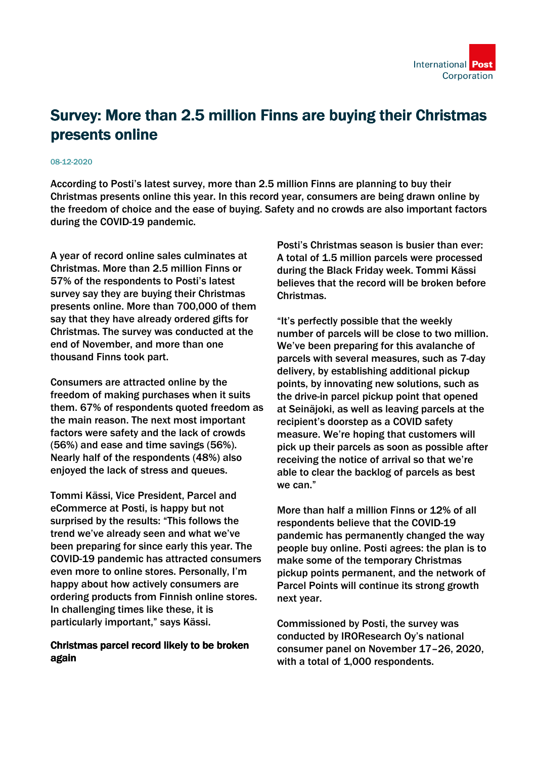

## Survey: More than 2.5 million Finns are buying their Christmas presents online

## 08-12-2020

According to Posti's latest survey, more than 2.5 million Finns are planning to buy their Christmas presents online this year. In this record year, consumers are being drawn online by the freedom of choice and the ease of buying. Safety and no crowds are also important factors during the COVID-19 pandemic.

A year of record online sales culminates at Christmas. More than 2.5 million Finns or 57% of the respondents to Posti's latest survey say they are buying their Christmas presents online. More than 700,000 of them say that they have already ordered gifts for Christmas. The survey was conducted at the end of November, and more than one thousand Finns took part.

Consumers are attracted online by the freedom of making purchases when it suits them. 67% of respondents quoted freedom as the main reason. The next most important factors were safety and the lack of crowds (56%) and ease and time savings (56%). Nearly half of the respondents (48%) also enjoyed the lack of stress and queues.

Tommi Kässi, Vice President, Parcel and eCommerce at Posti, is happy but not surprised by the results: "This follows the trend we've already seen and what we've been preparing for since early this year. The COVID-19 pandemic has attracted consumers even more to online stores. Personally, I'm happy about how actively consumers are ordering products from Finnish online stores. In challenging times like these, it is particularly important," says Kässi.

## Christmas parcel record likely to be broken again

Posti's Christmas season is busier than ever: A total of 1.5 million parcels were processed during the Black Friday week. Tommi Kässi believes that the record will be broken before Christmas.

"It's perfectly possible that the weekly number of parcels will be close to two million. We've been preparing for this avalanche of parcels with several measures, such as 7-day delivery, by establishing additional pickup points, by innovating new solutions, such as the drive-in parcel pickup point that opened at Seinäjoki, as well as leaving parcels at the recipient's doorstep as a COVID safety measure. We're hoping that customers will pick up their parcels as soon as possible after receiving the notice of arrival so that we're able to clear the backlog of parcels as best we can."

More than half a million Finns or 12% of all respondents believe that the COVID-19 pandemic has permanently changed the way people buy online. Posti agrees: the plan is to make some of the temporary Christmas pickup points permanent, and the network of Parcel Points will continue its strong growth next year.

Commissioned by Posti, the survey was conducted by IROResearch Oy's national consumer panel on November 17–26, 2020, with a total of 1,000 respondents.